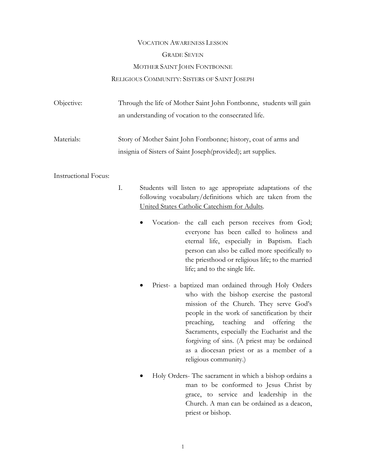# VOCATION AWARENESS LESSON GRADE SEVEN MOTHER SAINT JOHN FONTBONNE RELIGIOUS COMMUNITY: SISTERS OF SAINT JOSEPH

| Objective: | Through the life of Mother Saint John Fontbonne, students will gain |
|------------|---------------------------------------------------------------------|
|            | an understanding of vocation to the consecrated life.               |
| Materials: | Story of Mother Saint John Fontbonne; history, coat of arms and     |
|            | insignia of Sisters of Saint Joseph (provided); art supplies.       |

## Instructional Focus:

- I. Students will listen to age appropriate adaptations of the following vocabulary/definitions which are taken from the United States Catholic Catechism for Adults.
	- Vocation- the call each person receives from God; everyone has been called to holiness and eternal life, especially in Baptism. Each person can also be called more specifically to the priesthood or religious life; to the married life; and to the single life.
	- Priest- a baptized man ordained through Holy Orders who with the bishop exercise the pastoral mission of the Church. They serve God's people in the work of sanctification by their preaching, teaching and offering the Sacraments, especially the Eucharist and the forgiving of sins. (A priest may be ordained as a diocesan priest or as a member of a religious community.)
	- Holy Orders- The sacrament in which a bishop ordains a man to be conformed to Jesus Christ by grace, to service and leadership in the Church. A man can be ordained as a deacon, priest or bishop.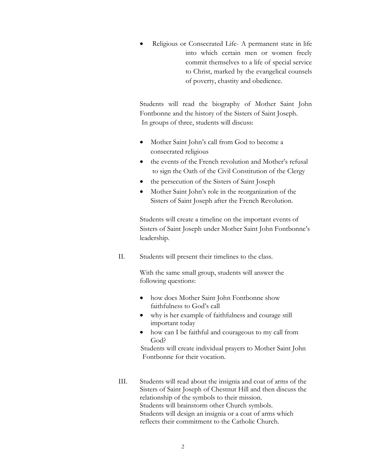• Religious or Consecrated Life- A permanent state in life into which certain men or women freely commit themselves to a life of special service to Christ, marked by the evangelical counsels of poverty, chastity and obedience.

 Students will read the biography of Mother Saint John Fontbonne and the history of the Sisters of Saint Joseph. In groups of three, students will discuss:

- Mother Saint John's call from God to become a consecrated religious
- the events of the French revolution and Mother's refusal to sign the Oath of the Civil Constitution of the Clergy
- the persecution of the Sisters of Saint Joseph
- Mother Saint John's role in the reorganization of the Sisters of Saint Joseph after the French Revolution.

 Students will create a timeline on the important events of Sisters of Saint Joseph under Mother Saint John Fontbonne's leadership.

II. Students will present their timelines to the class.

 With the same small group, students will answer the following questions:

- how does Mother Saint John Fontbonne show faithfulness to God's call
- why is her example of faithfulness and courage still important today
- how can I be faithful and courageous to my call from God?

 Students will create individual prayers to Mother Saint John Fontbonne for their vocation.

 III. Students will read about the insignia and coat of arms of the Sisters of Saint Joseph of Chestnut Hill and then discuss the relationship of the symbols to their mission. Students will brainstorm other Church symbols. Students will design an insignia or a coat of arms which reflects their commitment to the Catholic Church.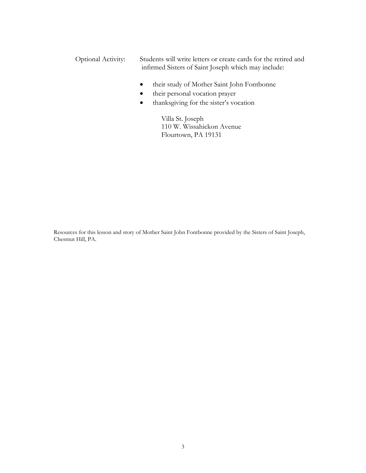- Optional Activity: Students will write letters or create cards for the retired and infirmed Sisters of Saint Joseph which may include:
	- their study of Mother Saint John Fontbonne
	- their personal vocation prayer
	- thanksgiving for the sister's vocation

 Villa St. Joseph 110 W. Wissahickon Avenue Flourtown, PA 19131

Resources for this lesson and story of Mother Saint John Fontbonne provided by the Sisters of Saint Joseph, Chestnut Hill, PA.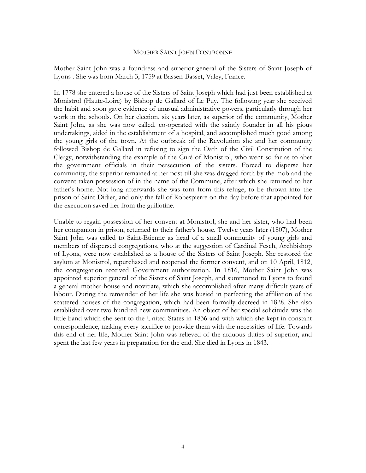### MOTHER SAINT JOHN FONTBONNE

Mother Saint John was a foundress and superior-general of the Sisters of Saint Joseph of Lyons . She was born March 3, 1759 at Bassen-Basset, Valey, France.

In 1778 she entered a house of the Sisters of Saint Joseph which had just been established at Monistrol (Haute-Loire) by Bishop de Gallard of Le Puy. The following year she received the habit and soon gave evidence of unusual administrative powers, particularly through her work in the schools. On her election, six years later, as superior of the community, Mother Saint John, as she was now called, co-operated with the saintly founder in all his pious undertakings, aided in the establishment of a hospital, and accomplished much good among the young girls of the town. At the outbreak of the Revolution she and her community followed Bishop de Gallard in refusing to sign the Oath of the Civil Constitution of the Clergy, notwithstanding the example of the Curé of Monistrol, who went so far as to abet the government officials in their persecution of the sisters. Forced to disperse her community, the superior remained at her post till she was dragged forth by the mob and the convent taken possession of in the name of the Commune, after which she returned to her father's home. Not long afterwards she was torn from this refuge, to be thrown into the prison of Saint-Didier, and only the fall of Robespierre on the day before that appointed for the execution saved her from the guillotine.

Unable to regain possession of her convent at Monistrol, she and her sister, who had been her companion in prison, returned to their father's house. Twelve years later (1807), Mother Saint John was called to Saint-Etienne as head of a small community of young girls and members of dispersed congregations, who at the suggestion of Cardinal Fesch, Archbishop of Lyons, were now established as a house of the Sisters of Saint Joseph. She restored the asylum at Monistrol, repurchased and reopened the former convent, and on 10 April, 1812, the congregation received Government authorization. In 1816, Mother Saint John was appointed superior general of the Sisters of Saint Joseph, and summoned to Lyons to found a general mother-house and novitiate, which she accomplished after many difficult years of labour. During the remainder of her life she was busied in perfecting the affiliation of the scattered houses of the congregation, which had been formally decreed in 1828. She also established over two hundred new communities. An object of her special solicitude was the little band which she sent to the United States in 1836 and with which she kept in constant correspondence, making every sacrifice to provide them with the necessities of life. Towards this end of her life, Mother Saint John was relieved of the arduous duties of superior, and spent the last few years in preparation for the end. She died in Lyons in 1843.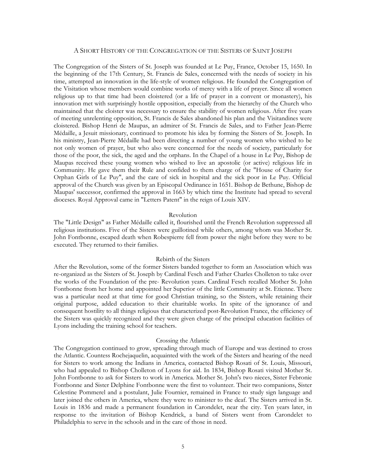### A SHORT HISTORY OF THE CONGREGATION OF THE SISTERS OF SAINT JOSEPH

The Congregation of the Sisters of St. Joseph was founded at Le Puy, France, October 15, 1650. In the beginning of the 17th Century, St. Francis de Sales, concerned with the needs of society in his time, attempted an innovation in the life-style of women religious. He founded the Congregation of the Visitation whose members would combine works of mercy with a life of prayer. Since all women religious up to that time had been cloistered (or a life of prayer in a convent or monastery), his innovation met with surprisingly hostile opposition, especially from the hierarchy of the Church who maintained that the cloister was necessary to ensure the stability of women religious. After five years of meeting unrelenting opposition, St. Francis de Sales abandoned his plan and the Visitandines were cloistered. Bishop Henri de Maupas, an admirer of St. Francis de Sales, and to Father Jean-Pierre Médaille, a Jesuit missionary, continued to promote his idea by forming the Sisters of St. Joseph. In his ministry, Jean-Pierre Médaille had been directing a number of young women who wished to be not only women of prayer, but who also were concerned for the needs of society, particularly for those of the poor, the sick, the aged and the orphans. In the Chapel of a house in Le Puy, Bishop de Maupas received these young women who wished to live an apostolic (or active) religious life in Community. He gave them their Rule and confided to them charge of the "House of Charity for Orphan Girls of Le Puy", and the care of sick in hospital and the sick poor in Le Puy. Official approval of the Church was given by an Episcopal Ordinance in 1651. Bishop de Bethune, Bishop de Maupas' successor, confirmed the approval in 1663 by which time the Institute had spread to several dioceses. Royal Approval came in "Letters Patent" in the reign of Louis XIV.

#### Revolution

The "Little Design" as Father Médaille called it, flourished until the French Revolution suppressed all religious institutions. Five of the Sisters were guillotined while others, among whom was Mother St. John Fontbonne, escaped death when Robespierre fell from power the night before they were to be executed. They returned to their families.

### Rebirth of the Sisters

After the Revolution, some of the former Sisters banded together to form an Association which was re-organized as the Sisters of St. Joseph by Cardinal Fesch and Father Charles Cholleton to take over the works of the Foundation of the pre- Revolution years. Cardinal Fesch recalled Mother St. John Fontbonne from her home and appointed her Superior of the little Community at St. Etienne. There was a particular need at that time for good Christian training, so the Sisters, while retaining their original purpose, added education to their charitable works. In spite of the ignorance of and consequent hostility to all things religious that characterized post-Revolution France, the efficiency of the Sisters was quickly recognized and they were given charge of the principal education facilities of Lyons including the training school for teachers.

#### Crossing the Atlantic

The Congregation continued to grow, spreading through much of Europe and was destined to cross the Atlantic. Countess Rochejaquelin, acquainted with the work of the Sisters and hearing of the need for Sisters to work among the Indians in America, contacted Bishop Rosati of St. Louis, Missouri, who had appealed to Bishop Cholleton of Lyons for aid. In 1834, Bishop Rosati visited Mother St. John Fontbonne to ask for Sisters to work in America. Mother St. John's two nieces, Sister Febronie Fontbonne and Sister Delphine Fontbonne were the first to volunteer. Their two companions, Sister Celestine Pommerel and a postulant, Julie Fournier, remained in France to study sign language and later joined the others in America, where they were to minister to the deaf. The Sisters arrived in St. Louis in 1836 and made a permanent foundation in Carondelet, near the city. Ten years later, in response to the invitation of Bishop Kendrick, a band of Sisters went from Carondelet to Philadelphia to serve in the schools and in the care of those in need.